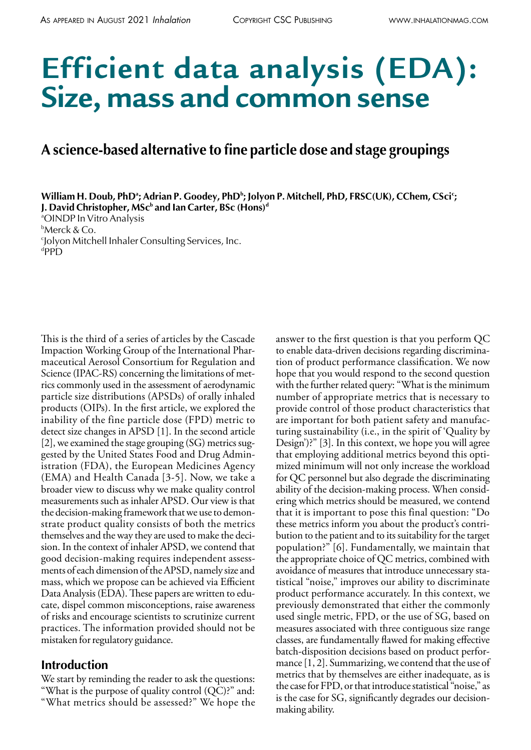# **Efficient data analysis (EDA): Size, mass and common sense**

# **A science-based alternative to fine particle dose and stage groupings**

William H. Doub, PhDª; Adrian P. Goodey, PhDʰ; Jolyon P. Mitchell, PhD, FRSC(UK), CChem, CSci<sup>c</sup>; **J. David Christopher, MSc** $^{\rm b}$  **and Ian Carter, BSc (Hons)** $^{\rm d}$ 

a OINDP In Vitro Analysis b Merck & Co. c Jolyon Mitchell Inhaler Consulting Services, Inc.  $^{\rm d}{\sf PPD}$ 

This is the third of a series of articles by the Cascade Impaction Working Group of the International Pharmaceutical Aerosol Consortium for Regulation and Science (IPAC-RS) concerning the limitations of metrics commonly used in the assessment of aerodynamic particle size distributions (APSDs) of orally inhaled products (OIPs). In the first article, we explored the inability of the fine particle dose (FPD) metric to detect size changes in APSD [1]. In the second article [2], we examined the stage grouping (SG) metrics suggested by the United States Food and Drug Administration (FDA), the European Medicines Agency (EMA) and Health Canada [3-5]. Now, we take a broader view to discuss why we make quality control measurements such as inhaler APSD. Our view is that the decision-making framework that we use to demonstrate product quality consists of both the metrics themselves and the way they are used to make the decision. In the context of inhaler APSD, we contend that good decision-making requires independent assessments of each dimension of the APSD, namely size and mass, which we propose can be achieved via Efficient Data Analysis (EDA). These papers are written to educate, dispel common misconceptions, raise awareness of risks and encourage scientists to scrutinize current practices. The information provided should not be mistaken for regulatory guidance.

#### **Introduction**

We start by reminding the reader to ask the questions: "What is the purpose of quality control (QC)?" and: "What metrics should be assessed?" We hope the answer to the first question is that you perform QC to enable data-driven decisions regarding discrimination of product performance classification. We now hope that you would respond to the second question with the further related query: "What is the minimum number of appropriate metrics that is necessary to provide control of those product characteristics that are important for both patient safety and manufacturing sustainability (i.e., in the spirit of 'Quality by Design')?" [3]. In this context, we hope you will agree that employing additional metrics beyond this optimized minimum will not only increase the workload for QC personnel but also degrade the discriminating ability of the decision-making process. When considering which metrics should be measured, we contend that it is important to pose this final question: "Do these metrics inform you about the product's contribution to the patient and to its suitability for the target population?" [6]. Fundamentally, we maintain that the appropriate choice of QC metrics, combined with avoidance of measures that introduce unnecessary statistical "noise," improves our ability to discriminate product performance accurately. In this context, we previously demonstrated that either the commonly used single metric, FPD, or the use of SG, based on measures associated with three contiguous size range classes, are fundamentally flawed for making effective batch-disposition decisions based on product performance [1, 2]. Summarizing, we contend that the use of metrics that by themselves are either inadequate, as is the case for FPD, or that introduce statistical "noise," as is the case for SG, significantly degrades our decisionmaking ability.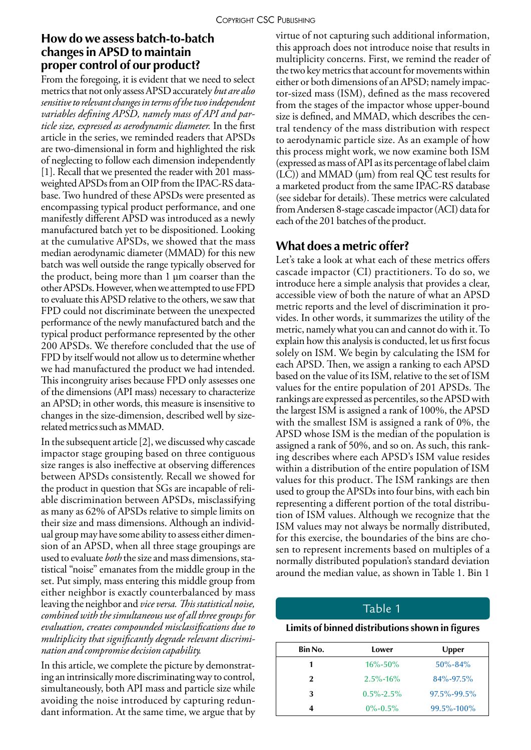#### **How do we assess batch-to-batch changes in APSD to maintain proper control of our product?**

From the foregoing, it is evident that we need to select metrics that not only assess APSD accurately *but are also sensitive to relevant changes in terms of the two independent variables defining APSD, namely mass of API and particle size, expressed as aerodynamic diameter.* In the first article in the series, we reminded readers that APSDs are two-dimensional in form and highlighted the risk of neglecting to follow each dimension independently [1]. Recall that we presented the reader with 201 massweighted APSDs from an OIP from the IPAC-RS database. Two hundred of these APSDs were presented as encompassing typical product performance, and one manifestly different APSD was introduced as a newly manufactured batch yet to be dispositioned. Looking at the cumulative APSDs, we showed that the mass median aerodynamic diameter (MMAD) for this new batch was well outside the range typically observed for the product, being more than 1 µm coarser than the other APSDs. However, when we attempted to use FPD to evaluate this APSD relative to the others, we saw that FPD could not discriminate between the unexpected performance of the newly manufactured batch and the typical product performance represented by the other 200 APSDs. We therefore concluded that the use of FPD by itself would not allow us to determine whether we had manufactured the product we had intended. This incongruity arises because FPD only assesses one of the dimensions (API mass) necessary to characterize an APSD; in other words, this measure is insensitive to changes in the size-dimension, described well by sizerelated metrics such as MMAD.

In the subsequent article [2], we discussed why cascade impactor stage grouping based on three contiguous size ranges is also ineffective at observing differences between APSDs consistently. Recall we showed for the product in question that SGs are incapable of reliable discrimination between APSDs, misclassifying as many as 62% of APSDs relative to simple limits on their size and mass dimensions. Although an individual group may have some ability to assess either dimension of an APSD, when all three stage groupings are used to evaluate *both* the size and mass dimensions, statistical "noise" emanates from the middle group in the set. Put simply, mass entering this middle group from either neighbor is exactly counterbalanced by mass leaving the neighbor and *vice versa. This statistical noise, combined with the simultaneous use of all three groups for evaluation, creates compounded misclassifications due to multiplicity that significantly degrade relevant discrimination and compromise decision capability.*

In this article, we complete the picture by demonstrating an intrinsically more discriminating way to control, simultaneously, both API mass and particle size while avoiding the noise introduced by capturing redundant information. At the same time, we argue that by virtue of not capturing such additional information, this approach does not introduce noise that results in multiplicity concerns. First, we remind the reader of the two key metrics that account for movements within either or both dimensions of an APSD; namely impactor-sized mass (ISM), defined as the mass recovered from the stages of the impactor whose upper-bound size is defined, and MMAD, which describes the central tendency of the mass distribution with respect to aerodynamic particle size. As an example of how this process might work, we now examine both ISM (expressed as mass of API as its percentage of label claim  $(LC)$ ) and MMAD ( $\mu$ m) from real QC test results for a marketed product from the same IPAC-RS database (see sidebar for details). These metrics were calculated from Andersen 8-stage cascade impactor (ACI) data for each of the 201 batches of the product.

## **What does a metric offer?**

Let's take a look at what each of these metrics offers cascade impactor (CI) practitioners. To do so, we introduce here a simple analysis that provides a clear, accessible view of both the nature of what an APSD metric reports and the level of discrimination it provides. In other words, it summarizes the utility of the metric, namely what you can and cannot do with it. To explain how this analysis is conducted, let us first focus solely on ISM. We begin by calculating the ISM for each APSD. Then, we assign a ranking to each APSD based on the value of its ISM, relative to the set of ISM values for the entire population of 201 APSDs. The rankings are expressed as percentiles, so the APSD with the largest ISM is assigned a rank of 100%, the APSD with the smallest ISM is assigned a rank of 0%, the APSD whose ISM is the median of the population is assigned a rank of 50%, and so on. As such, this ranking describes where each APSD's ISM value resides within a distribution of the entire population of ISM values for this product. The ISM rankings are then used to group the APSDs into four bins, with each bin representing a different portion of the total distribution of ISM values. Although we recognize that the ISM values may not always be normally distributed, for this exercise, the boundaries of the bins are chosen to represent increments based on multiples of a normally distributed population's standard deviation around the median value, as shown in Table 1. Bin 1

#### Table 1

#### **Limits of binned distributions shown in figures**

| Bin No.      | Lower           | Upper             |
|--------------|-----------------|-------------------|
|              | $16\% - 50\%$   | $50\% - 84\%$     |
| $\mathbf{2}$ | $2.5\% - 16\%$  | 84%-97.5%         |
| 3            | $0.5\% - 2.5\%$ | $97.5\% - 99.5\%$ |
|              | $0\% - 0.5\%$   | 99.5%-100%        |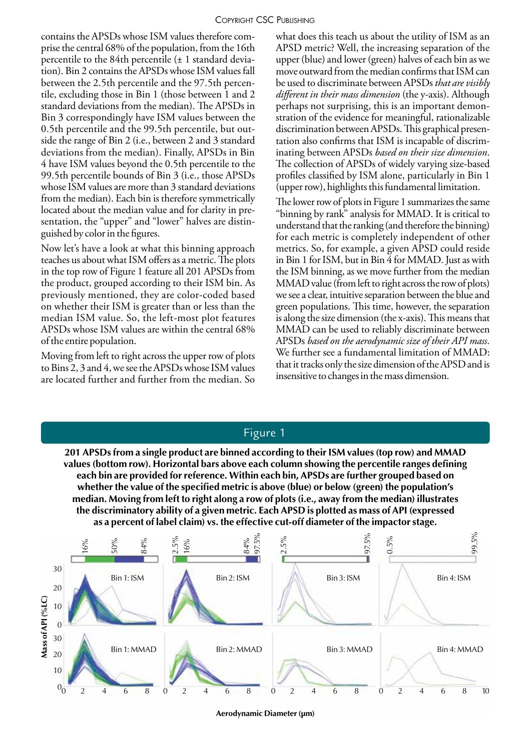contains the APSDs whose ISM values therefore comprise the central 68% of the population, from the 16th percentile to the 84th percentile (± 1 standard deviation). Bin 2 contains the APSDs whose ISM values fall between the 2.5th percentile and the 97.5th percentile, excluding those in Bin 1 (those between 1 and 2 standard deviations from the median). The APSDs in Bin 3 correspondingly have ISM values between the 0.5th percentile and the 99.5th percentile, but outside the range of Bin 2 (i.e., between 2 and 3 standard deviations from the median). Finally, APSDs in Bin 4 have ISM values beyond the 0.5th percentile to the 99.5th percentile bounds of Bin 3 (i.e., those APSDs whose ISM values are more than 3 standard deviations from the median). Each bin is therefore symmetrically located about the median value and for clarity in presentation, the "upper" and "lower" halves are distinguished by color in the figures.

Now let's have a look at what this binning approach teaches us about what ISM offers as a metric. The plots in the top row of Figure 1 feature all 201 APSDs from the product, grouped according to their ISM bin. As previously mentioned, they are color-coded based on whether their ISM is greater than or less than the median ISM value. So, the left-most plot features APSDs whose ISM values are within the central 68% of the entire population.

Moving from left to right across the upper row of plots to Bins 2, 3 and 4, we see the APSDs whose ISM values are located further and further from the median. So

what does this teach us about the utility of ISM as an APSD metric? Well, the increasing separation of the upper (blue) and lower (green) halves of each bin as we move outward from the median confirms that ISM can be used to discriminate between APSDs *that are visibly different in their mass dimension* (the y-axis). Although perhaps not surprising, this is an important demonstration of the evidence for meaningful, rationalizable discrimination between APSDs. This graphical presentation also confirms that ISM is incapable of discriminating between APSDs *based on their size dimension*. The collection of APSDs of widely varying size-based profiles classified by ISM alone, particularly in Bin 1 (upper row), highlights this fundamental limitation.

The lower row of plots in Figure 1 summarizes the same "binning by rank" analysis for MMAD. It is critical to understand that the ranking (and therefore the binning) for each metric is completely independent of other metrics. So, for example, a given APSD could reside in Bin 1 for ISM, but in Bin 4 for MMAD. Just as with the ISM binning, as we move further from the median MMAD value (from left to right across the row of plots) we see a clear, intuitive separation between the blue and green populations. This time, however, the separation is along the size dimension (the x-axis). This means that MMAD can be used to reliably discriminate between APSDs *based on the aerodynamic size of their API mass*. We further see a fundamental limitation of MMAD: that it tracks only the size dimension of the APSD and is insensitive to changes in the mass dimension.



Figure 1

**Aerodynamic Diameter (µm)**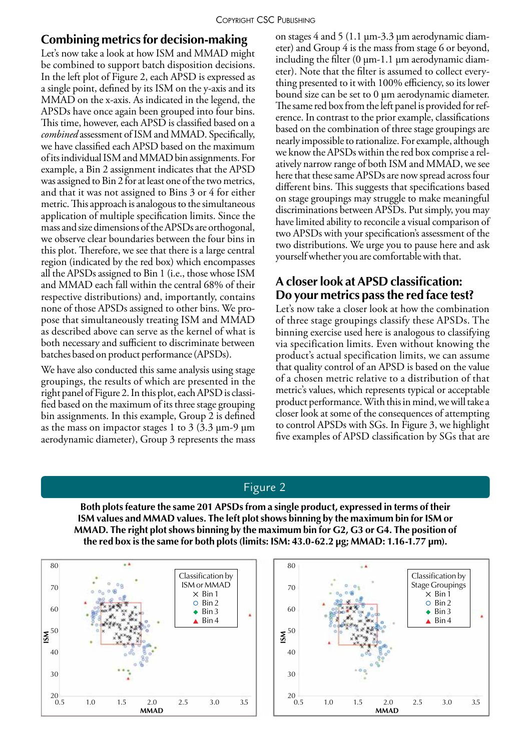#### **Combining metrics for decision-making**

Let's now take a look at how ISM and MMAD might be combined to support batch disposition decisions. In the left plot of Figure 2, each APSD is expressed as a single point, defined by its ISM on the y-axis and its MMAD on the x-axis. As indicated in the legend, the APSDs have once again been grouped into four bins. This time, however, each APSD is classified based on a *combined* assessment of ISM and MMAD. Specifically, we have classified each APSD based on the maximum of its individual ISM and MMAD bin assignments. For example, a Bin 2 assignment indicates that the APSD was assigned to Bin 2 for at least one of the two metrics, and that it was not assigned to Bins 3 or 4 for either metric. This approach is analogous to the simultaneous application of multiple specification limits. Since the mass and size dimensions of the APSDs are orthogonal, we observe clear boundaries between the four bins in this plot. Therefore, we see that there is a large central region (indicated by the red box) which encompasses all the APSDs assigned to Bin 1 (i.e., those whose ISM and MMAD each fall within the central 68% of their respective distributions) and, importantly, contains none of those APSDs assigned to other bins. We propose that simultaneously treating ISM and MMAD as described above can serve as the kernel of what is both necessary and sufficient to discriminate between batches based on product performance (APSDs).

We have also conducted this same analysis using stage groupings, the results of which are presented in the right panel of Figure 2. In this plot, each APSD is classified based on the maximum of its three stage grouping bin assignments. In this example, Group 2 is defined as the mass on impactor stages 1 to 3  $(3.3 \text{ µm-9 µm})$ aerodynamic diameter), Group 3 represents the mass on stages 4 and 5 (1.1 µm-3.3 µm aerodynamic diameter) and Group 4 is the mass from stage 6 or beyond, including the filter  $(0 \mu m-1.1 \mu m$  aerodynamic diameter). Note that the filter is assumed to collect everything presented to it with 100% efficiency, so its lower bound size can be set to 0 um aerodynamic diameter. The same red box from the left panel is provided for reference. In contrast to the prior example, classifications based on the combination of three stage groupings are nearly impossible to rationalize. For example, although we know the APSDs within the red box comprise a relatively narrow range of both ISM and MMAD, we see here that these same APSDs are now spread across four different bins. This suggests that specifications based on stage groupings may struggle to make meaningful discriminations between APSDs. Put simply, you may have limited ability to reconcile a visual comparison of two APSDs with your specification's assessment of the two distributions. We urge you to pause here and ask yourself whether you are comfortable with that.

# **A closer look at APSD classification: Do your metrics pass the red face test?**

Let's now take a closer look at how the combination of three stage groupings classify these APSDs. The binning exercise used here is analogous to classifying via specification limits. Even without knowing the product's actual specification limits, we can assume that quality control of an APSD is based on the value of a chosen metric relative to a distribution of that metric's values, which represents typical or acceptable product performance. With this in mind, we will take a closer look at some of the consequences of attempting to control APSDs with SGs. In Figure 3, we highlight five examples of APSD classification by SGs that are

#### Figure 2

**Both plots feature the same 201 APSDs from a single product, expressed in terms of their ISM values and MMAD values. The left plot shows binning by the maximum bin for ISM or MMAD. The right plot shows binning by the maximum bin for G2, G3 or G4. The position of the red box is the same for both plots (limits: ISM: 43.0-62.2 µg; MMAD: 1.16-1.77 µm).**



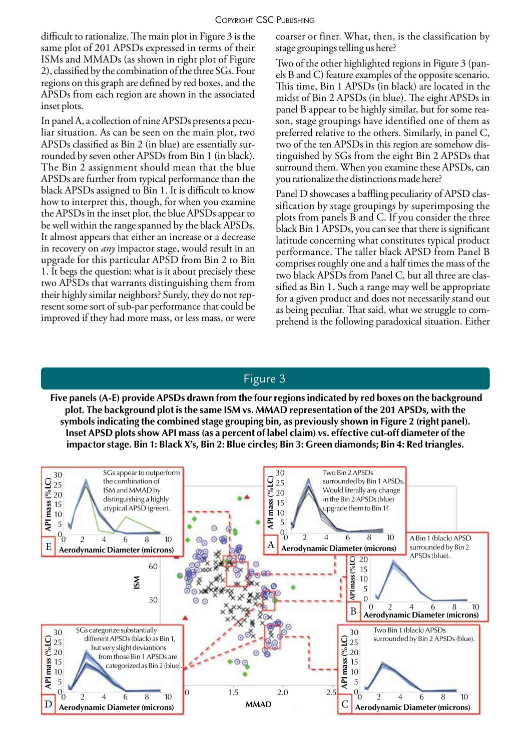#### Copyright CSC Publishing

difficult to rationalize. The main plot in Figure 3 is the same plot of 201 APSDs expressed in terms of their ISMs and MMADs (as shown in right plot of Figure 2), classified by the combination of the three SGs. Four regions on this graph are defined by red boxes, and the APSDs from each region are shown in the associated inset plots.

In panel A, a collection of nine APSDs presents a peculiar situation. As can be seen on the main plot, two APSDs classified as Bin 2 (in blue) are essentially surrounded by seven other APSDs from Bin 1 (in black). The Bin 2 assignment should mean that the blue APSDs are further from typical performance than the black APSDs assigned to Bin 1. It is difficult to know how to interpret this, though, for when you examine the APSDs in the inset plot, the blue APSDs appear to be well within the range spanned by the black APSDs. It almost appears that either an increase or a decrease in recovery on *any* impactor stage, would result in an upgrade for this particular APSD from Bin 2 to Bin 1. It begs the question: what is it about precisely these two APSDs that warrants distinguishing them from their highly similar neighbors? Surely, they do not represent some sort of sub-par performance that could be improved if they had more mass, or less mass, or were coarser or finer. What, then, is the classification by stage groupings telling us here?

Two of the other highlighted regions in Figure 3 (panels B and C) feature examples of the opposite scenario. This time, Bin 1 APSDs (in black) are located in the midst of Bin 2 APSDs (in blue). The eight APSDs in panel B appear to be highly similar, but for some reason, stage groupings have identified one of them as preferred relative to the others. Similarly, in panel C, two of the ten APSDs in this region are somehow distinguished by SGs from the eight Bin 2 APSDs that surround them. When you examine these APSDs, can you rationalize the distinctions made here?

Panel D showcases a baffling peculiarity of APSD classification by stage groupings by superimposing the plots from panels B and C. If you consider the three black Bin 1 APSDs, you can see that there is significant latitude concerning what constitutes typical product performance. The taller black APSD from Panel B comprises roughly one and a half times the mass of the two black APSDs from Panel C, but all three are classified as Bin 1. Such a range may well be appropriate for a given product and does not necessarily stand out as being peculiar. That said, what we struggle to comprehend is the following paradoxical situation. Either

#### Figure 3

 **Five panels (A-E) provide APSDs drawn from the four regions indicated by red boxes on the background plot. The background plot is the same ISM vs. MMAD representation of the 201 APSDs, with the symbols indicating the combined stage grouping bin, as previously shown in Figure 2 (right panel). Inset APSD plots show API mass (as a percent of label claim) vs. effective cut-off diameter of the impactor stage. Bin 1: Black X's, Bin 2: Blue circles; Bin 3: Green diamonds; Bin 4: Red triangles.**

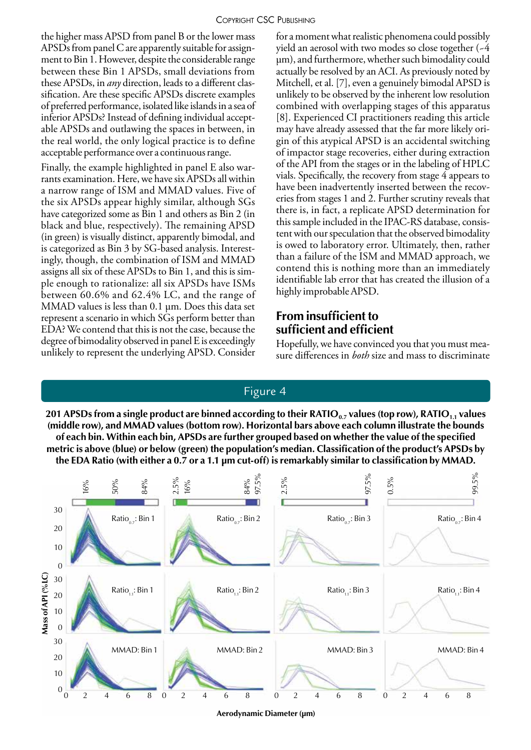the higher mass APSD from panel B or the lower mass APSDs from panel C are apparently suitable for assignment to Bin 1. However, despite the considerable range between these Bin 1 APSDs, small deviations from these APSDs, in *any* direction, leads to a different classification. Are these specific APSDs discrete examples of preferred performance, isolated like islands in a sea of inferior APSDs? Instead of defining individual acceptable APSDs and outlawing the spaces in between, in the real world, the only logical practice is to define acceptable performance over a continuous range.

Finally, the example highlighted in panel E also warrants examination. Here, we have six APSDs all within a narrow range of ISM and MMAD values. Five of the six APSDs appear highly similar, although SGs have categorized some as Bin 1 and others as Bin 2 (in black and blue, respectively). The remaining APSD (in green) is visually distinct, apparently bimodal, and is categorized as Bin 3 by SG-based analysis. Interestingly, though, the combination of ISM and MMAD assigns all six of these APSDs to Bin 1, and this is simple enough to rationalize: all six APSDs have ISMs between 60.6% and 62.4% LC, and the range of MMAD values is less than 0.1 μm. Does this data set represent a scenario in which SGs perform better than EDA? We contend that this is not the case, because the degree of bimodality observed in panel E is exceedingly unlikely to represent the underlying APSD. Consider

for a moment what realistic phenomena could possibly yield an aerosol with two modes so close together (~4 μm), and furthermore, whether such bimodality could actually be resolved by an ACI. As previously noted by Mitchell, et al. [7], even a genuinely bimodal APSD is unlikely to be observed by the inherent low resolution combined with overlapping stages of this apparatus [8]. Experienced CI practitioners reading this article may have already assessed that the far more likely origin of this atypical APSD is an accidental switching of impactor stage recoveries, either during extraction of the API from the stages or in the labeling of HPLC vials. Specifically, the recovery from stage 4 appears to have been inadvertently inserted between the recoveries from stages 1 and 2. Further scrutiny reveals that there is, in fact, a replicate APSD determination for this sample included in the IPAC-RS database, consistent with our speculation that the observed bimodality is owed to laboratory error. Ultimately, then, rather than a failure of the ISM and MMAD approach, we contend this is nothing more than an immediately identifiable lab error that has created the illusion of a highly improbable APSD.

# **From insufficient to sufficient and efficient**

Hopefully, we have convinced you that you must measure differences in *both* size and mass to discriminate

## Figure 4

201 APSDs from a single product are binned according to their RATIO<sub>0.7</sub> values (top row), RATIO<sub>11</sub> values **(middle row), and MMAD values (bottom row). Horizontal bars above each column illustrate the bounds of each bin. Within each bin, APSDs are further grouped based on whether the value of the specified metric is above (blue) or below (green) the population's median. Classification of the product's APSDs by the EDA Ratio (with either a 0.7 or a 1.1 μm cut-off) is remarkably similar to classification by MMAD.**



**Aerodynamic Diameter (µm)**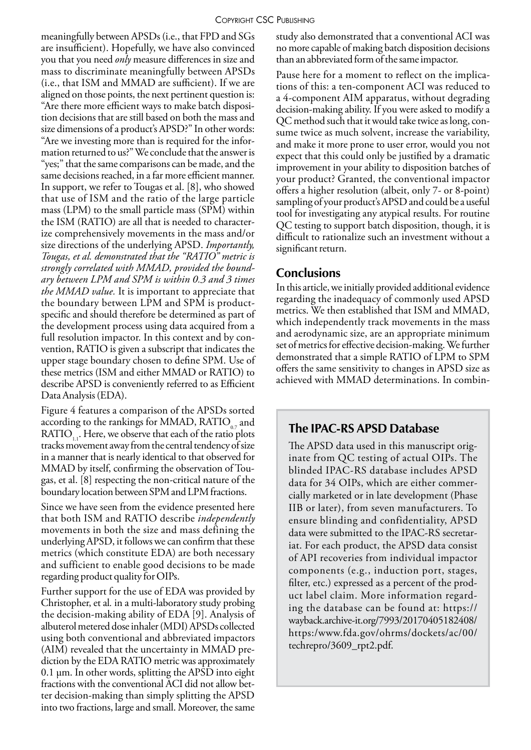meaningfully between APSDs (i.e., that FPD and SGs are insufficient). Hopefully, we have also convinced you that you need *only* measure differences in size and mass to discriminate meaningfully between APSDs (i.e., that ISM and MMAD are sufficient). If we are aligned on those points, the next pertinent question is: "Are there more efficient ways to make batch disposition decisions that are still based on both the mass and size dimensions of a product's APSD?" In other words: "Are we investing more than is required for the information returned to us?" We conclude that the answer is "yes;" that the same comparisons can be made, and the same decisions reached, in a far more efficient manner. In support, we refer to Tougas et al. [8], who showed that use of ISM and the ratio of the large particle mass (LPM) to the small particle mass (SPM) within the ISM (RATIO) are all that is needed to characterize comprehensively movements in the mass and/or size directions of the underlying APSD. *Importantly, Tougas, et al. demonstrated that the "RATIO" metric is strongly correlated with MMAD, provided the boundary between LPM and SPM is within 0.3 and 3 times the MMAD value.* It is important to appreciate that the boundary between LPM and SPM is productspecific and should therefore be determined as part of the development process using data acquired from a full resolution impactor. In this context and by convention, RATIO is given a subscript that indicates the upper stage boundary chosen to define SPM. Use of these metrics (ISM and either MMAD or RATIO) to describe APSD is conveniently referred to as Efficient Data Analysis (EDA).

Figure 4 features a comparison of the APSDs sorted according to the rankings for MMAD,  $\text{RATIO}_{0.7}$  and RATIO<sub>...</sub>. Here, we observe that each of the ratio plots tracks movement away from the central tendency of size in a manner that is nearly identical to that observed for MMAD by itself, confirming the observation of Tougas, et al. [8] respecting the non-critical nature of the boundary location between SPM and LPM fractions.

Since we have seen from the evidence presented here that both ISM and RATIO describe *independently* movements in both the size and mass defining the underlying APSD, it follows we can confirm that these metrics (which constitute EDA) are both necessary and sufficient to enable good decisions to be made regarding product quality for OIPs.

Further support for the use of EDA was provided by Christopher, et al*.* in a multi-laboratory study probing the decision-making ability of EDA [9]. Analysis of albuterol metered dose inhaler (MDI) APSDs collected using both conventional and abbreviated impactors (AIM) revealed that the uncertainty in MMAD prediction by the EDA RATIO metric was approximately 0.1 µm. In other words, splitting the APSD into eight fractions with the conventional ACI did not allow better decision-making than simply splitting the APSD into two fractions, large and small. Moreover, the same

study also demonstrated that a conventional ACI was no more capable of making batch disposition decisions than an abbreviated form of the same impactor.

Pause here for a moment to reflect on the implications of this: a ten-component ACI was reduced to a 4-component AIM apparatus, without degrading decision-making ability. If you were asked to modify a QC method such that it would take twice as long, consume twice as much solvent, increase the variability, and make it more prone to user error, would you not expect that this could only be justified by a dramatic improvement in your ability to disposition batches of your product? Granted, the conventional impactor offers a higher resolution (albeit, only 7- or 8-point) sampling of your product's APSD and could be a useful tool for investigating any atypical results. For routine QC testing to support batch disposition, though, it is difficult to rationalize such an investment without a significant return.

# **Conclusions**

In this article, we initially provided additional evidence regarding the inadequacy of commonly used APSD metrics. We then established that ISM and MMAD, which independently track movements in the mass and aerodynamic size, are an appropriate minimum set of metrics for effective decision-making. We further demonstrated that a simple RATIO of LPM to SPM offers the same sensitivity to changes in APSD size as achieved with MMAD determinations. In combin-

# **The IPAC-RS APSD Database**

The APSD data used in this manuscript originate from QC testing of actual OIPs. The blinded IPAC-RS database includes APSD data for 34 OIPs, which are either commercially marketed or in late development (Phase IIB or later), from seven manufacturers. To ensure blinding and confidentiality, APSD data were submitted to the IPAC-RS secretariat. For each product, the APSD data consist of API recoveries from individual impactor components (e.g., induction port, stages, filter, etc.) expressed as a percent of the product label claim. More information regarding the database can be found at: https:// wayback.archive-it.org/7993/20170405182408/ https:/www.fda.gov/ohrms/dockets/ac/00/ techrepro/3609\_rpt2.pdf.